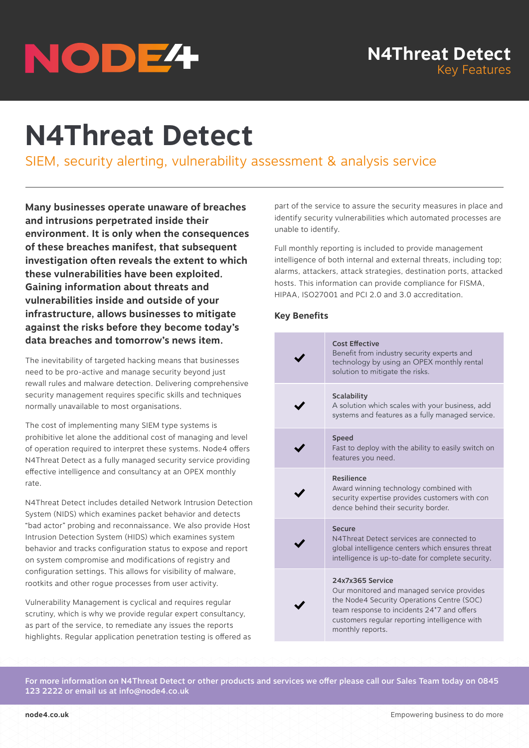# NODE<sup>4</sup>

# **N4Threat Detect**

SIEM, security alerting, vulnerability assessment & analysis service

**Many businesses operate unaware of breaches and intrusions perpetrated inside their environment. It is only when the consequences of these breaches manifest, that subsequent investigation often reveals the extent to which these vulnerabilities have been exploited. Gaining information about threats and vulnerabilities inside and outside of your infrastructure, allows businesses to mitigate against the risks before they become today's data breaches and tomorrow's news item.**

The inevitability of targeted hacking means that businesses need to be pro-active and manage security beyond just rewall rules and malware detection. Delivering comprehensive security management requires specific skills and techniques normally unavailable to most organisations.

The cost of implementing many SIEM type systems is prohibitive let alone the additional cost of managing and level of operation required to interpret these systems. Node4 offers N4Threat Detect as a fully managed security service providing effective intelligence and consultancy at an OPEX monthly rate.

N4Threat Detect includes detailed Network Intrusion Detection System (NIDS) which examines packet behavior and detects "bad actor" probing and reconnaissance. We also provide Host Intrusion Detection System (HIDS) which examines system behavior and tracks configuration status to expose and report on system compromise and modifications of registry and configuration settings. This allows for visibility of malware, rootkits and other rogue processes from user activity.

Vulnerability Management is cyclical and requires regular scrutiny, which is why we provide regular expert consultancy, as part of the service, to remediate any issues the reports highlights. Regular application penetration testing is offered as

part of the service to assure the security measures in place and identify security vulnerabilities which automated processes are unable to identify.

Full monthly reporting is included to provide management intelligence of both internal and external threats, including top; alarms, attackers, attack strategies, destination ports, attacked hosts. This information can provide compliance for FISMA, HIPAA, ISO27001 and PCI 2.0 and 3.0 accreditation.

# **Key Benefits**

| <b>Cost Effective</b><br>Benefit from industry security experts and<br>technology by using an OPEX monthly rental<br>solution to mitigate the risks.                                                                            |
|---------------------------------------------------------------------------------------------------------------------------------------------------------------------------------------------------------------------------------|
| Scalability<br>A solution which scales with your business, add<br>systems and features as a fully managed service.                                                                                                              |
| <b>Speed</b><br>Fast to deploy with the ability to easily switch on<br>features you need.                                                                                                                                       |
| <b>Resilience</b><br>Award winning technology combined with<br>security expertise provides customers with con<br>dence behind their security border.                                                                            |
| <b>Secure</b><br>N4Threat Detect services are connected to<br>global intelligence centers which ensures threat<br>intelligence is up-to-date for complete security.                                                             |
| 24x7x365 Service<br>Our monitored and managed service provides<br>the Node4 Security Operations Centre (SOC)<br>team response to incidents 24*7 and offers<br>customers regular reporting intelligence with<br>monthly reports. |

For more information on N4Threat Detect or other products and services we offer please call our Sales Team today on 0845 123 2222 or email us at info@node4.co.uk